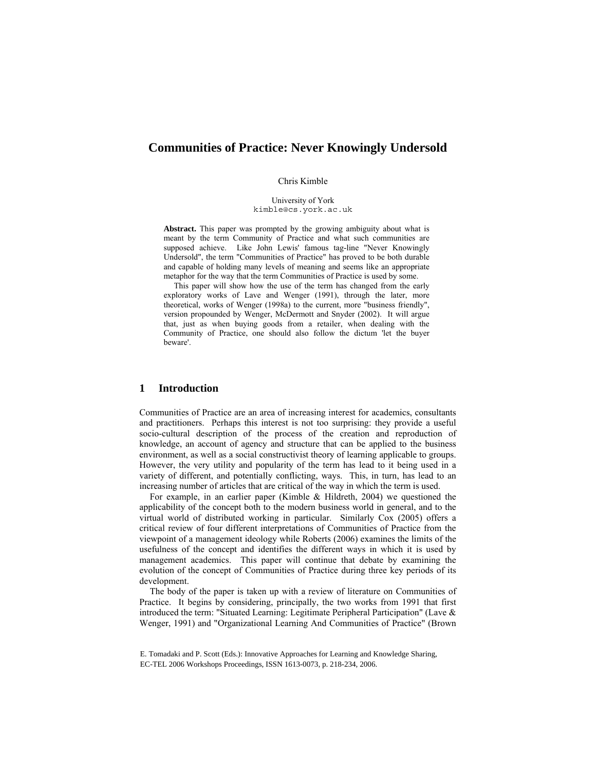# **Communities of Practice: Never Knowingly Undersold**

## Chris Kimble

University of York kimble@cs.york.ac.uk

**Abstract.** This paper was prompted by the growing ambiguity about what is meant by the term Community of Practice and what such communities are supposed achieve. Like John Lewis' famous tag-line "Never Knowingly Undersold", the term "Communities of Practice" has proved to be both durable and capable of holding many levels of meaning and seems like an appropriate metaphor for the way that the term Communities of Practice is used by some.

This paper will show how the use of the term has changed from the early exploratory works of Lave and Wenger (1991), through the later, more theoretical, works of Wenger (1998a) to the current, more "business friendly", version propounded by Wenger, McDermott and Snyder (2002). It will argue that, just as when buying goods from a retailer, when dealing with the Community of Practice, one should also follow the dictum 'let the buyer beware'.

# **1 Introduction**

Communities of Practice are an area of increasing interest for academics, consultants and practitioners. Perhaps this interest is not too surprising: they provide a useful socio-cultural description of the process of the creation and reproduction of knowledge, an account of agency and structure that can be applied to the business environment, as well as a social constructivist theory of learning applicable to groups. However, the very utility and popularity of the term has lead to it being used in a variety of different, and potentially conflicting, ways. This, in turn, has lead to an increasing number of articles that are critical of the way in which the term is used.

For example, in an earlier paper (Kimble & Hildreth, 2004) we questioned the applicability of the concept both to the modern business world in general, and to the virtual world of distributed working in particular. Similarly Cox (2005) offers a critical review of four different interpretations of Communities of Practice from the viewpoint of a management ideology while Roberts (2006) examines the limits of the usefulness of the concept and identifies the different ways in which it is used by management academics. This paper will continue that debate by examining the evolution of the concept of Communities of Practice during three key periods of its development.

The body of the paper is taken up with a review of literature on Communities of Practice. It begins by considering, principally, the two works from 1991 that first introduced the term: "Situated Learning: Legitimate Peripheral Participation" (Lave & Wenger, 1991) and "Organizational Learning And Communities of Practice" (Brown

E. Tomadaki and P. Scott (Eds.): Innovative Approaches for Learning and Knowledge Sharing, EC-TEL 2006 Workshops Proceedings, ISSN 1613-0073, p. 218-234, 2006.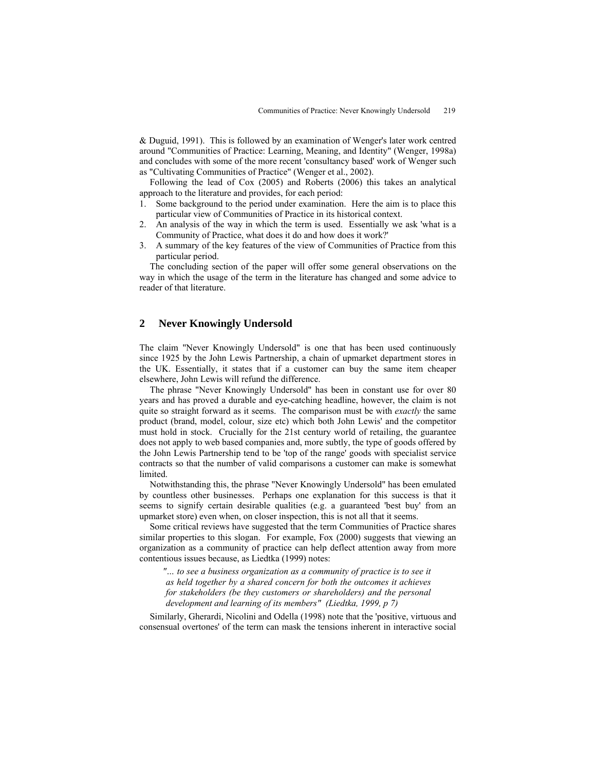& Duguid, 1991). This is followed by an examination of Wenger's later work centred around "Communities of Practice: Learning, Meaning, and Identity" (Wenger, 1998a) and concludes with some of the more recent 'consultancy based' work of Wenger such as "Cultivating Communities of Practice" (Wenger et al., 2002).

Following the lead of Cox (2005) and Roberts (2006) this takes an analytical approach to the literature and provides, for each period:

- 1. Some background to the period under examination. Here the aim is to place this particular view of Communities of Practice in its historical context.
- 2. An analysis of the way in which the term is used. Essentially we ask 'what is a Community of Practice, what does it do and how does it work?'
- 3. A summary of the key features of the view of Communities of Practice from this particular period.

The concluding section of the paper will offer some general observations on the way in which the usage of the term in the literature has changed and some advice to reader of that literature.

# **2 Never Knowingly Undersold**

The claim "Never Knowingly Undersold" is one that has been used continuously since 1925 by the John Lewis Partnership, a chain of upmarket department stores in the UK. Essentially, it states that if a customer can buy the same item cheaper elsewhere, John Lewis will refund the difference.

The phrase "Never Knowingly Undersold" has been in constant use for over 80 years and has proved a durable and eye-catching headline, however, the claim is not quite so straight forward as it seems. The comparison must be with *exactly* the same product (brand, model, colour, size etc) which both John Lewis' and the competitor must hold in stock. Crucially for the 21st century world of retailing, the guarantee does not apply to web based companies and, more subtly, the type of goods offered by the John Lewis Partnership tend to be 'top of the range' goods with specialist service contracts so that the number of valid comparisons a customer can make is somewhat limited.

Notwithstanding this, the phrase "Never Knowingly Undersold" has been emulated by countless other businesses. Perhaps one explanation for this success is that it seems to signify certain desirable qualities (e.g. a guaranteed 'best buy' from an upmarket store) even when, on closer inspection, this is not all that it seems.

Some critical reviews have suggested that the term Communities of Practice shares similar properties to this slogan. For example, Fox (2000) suggests that viewing an organization as a community of practice can help deflect attention away from more contentious issues because, as Liedtka (1999) notes:

*"… to see a business organization as a community of practice is to see it as held together by a shared concern for both the outcomes it achieves for stakeholders (be they customers or shareholders) and the personal development and learning of its members" (Liedtka, 1999, p 7)* 

Similarly, Gherardi, Nicolini and Odella (1998) note that the 'positive, virtuous and consensual overtones' of the term can mask the tensions inherent in interactive social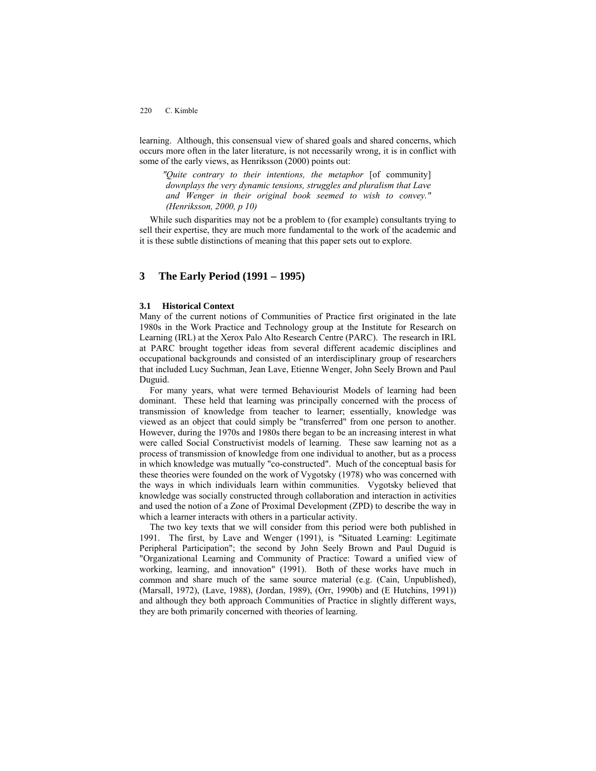learning. Although, this consensual view of shared goals and shared concerns, which occurs more often in the later literature, is not necessarily wrong, it is in conflict with some of the early views, as Henriksson (2000) points out:

*"Quite contrary to their intentions, the metaphor* [of community] *downplays the very dynamic tensions, struggles and pluralism that Lave and Wenger in their original book seemed to wish to convey." (Henriksson, 2000, p 10)* 

While such disparities may not be a problem to (for example) consultants trying to sell their expertise, they are much more fundamental to the work of the academic and it is these subtle distinctions of meaning that this paper sets out to explore.

# **3 The Early Period (1991 – 1995)**

# **3.1 Historical Context**

Many of the current notions of Communities of Practice first originated in the late 1980s in the Work Practice and Technology group at the Institute for Research on Learning (IRL) at the Xerox Palo Alto Research Centre (PARC). The research in IRL at PARC brought together ideas from several different academic disciplines and occupational backgrounds and consisted of an interdisciplinary group of researchers that included Lucy Suchman, Jean Lave, Etienne Wenger, John Seely Brown and Paul Duguid.

For many years, what were termed Behaviourist Models of learning had been dominant. These held that learning was principally concerned with the process of transmission of knowledge from teacher to learner; essentially, knowledge was viewed as an object that could simply be "transferred" from one person to another. However, during the 1970s and 1980s there began to be an increasing interest in what were called Social Constructivist models of learning. These saw learning not as a process of transmission of knowledge from one individual to another, but as a process in which knowledge was mutually "co-constructed". Much of the conceptual basis for these theories were founded on the work of Vygotsky (1978) who was concerned with the ways in which individuals learn within communities. Vygotsky believed that knowledge was socially constructed through collaboration and interaction in activities and used the notion of a Zone of Proximal Development (ZPD) to describe the way in which a learner interacts with others in a particular activity.

The two key texts that we will consider from this period were both published in 1991. The first, by Lave and Wenger (1991), is "Situated Learning: Legitimate Peripheral Participation"; the second by John Seely Brown and Paul Duguid is "Organizational Learning and Community of Practice: Toward a unified view of working, learning, and innovation" (1991). Both of these works have much in common and share much of the same source material (e.g. (Cain, Unpublished), (Marsall, 1972), (Lave, 1988), (Jordan, 1989), (Orr, 1990b) and (E Hutchins, 1991)) and although they both approach Communities of Practice in slightly different ways, they are both primarily concerned with theories of learning.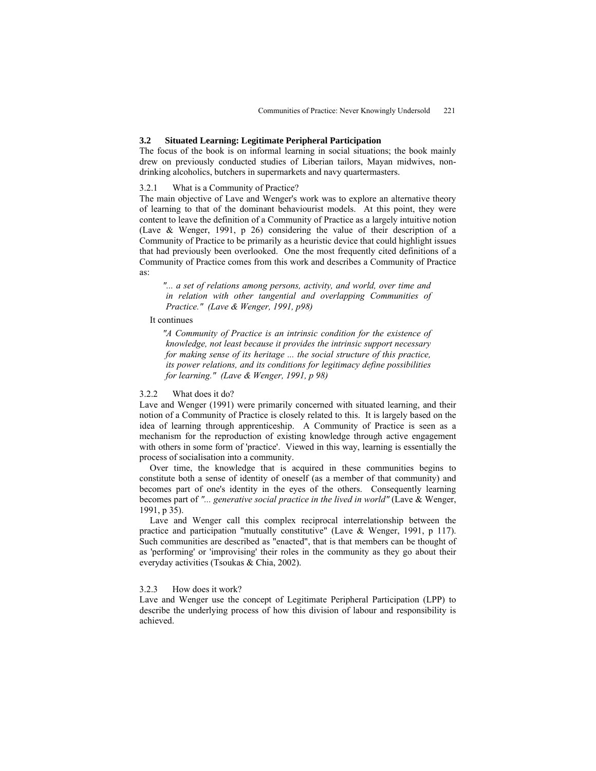# **3.2 Situated Learning: Legitimate Peripheral Participation**

The focus of the book is on informal learning in social situations; the book mainly drew on previously conducted studies of Liberian tailors, Mayan midwives, nondrinking alcoholics, butchers in supermarkets and navy quartermasters.

# 3.2.1 What is a Community of Practice?

The main objective of Lave and Wenger's work was to explore an alternative theory of learning to that of the dominant behaviourist models. At this point, they were content to leave the definition of a Community of Practice as a largely intuitive notion (Lave & Wenger, 1991, p 26) considering the value of their description of a Community of Practice to be primarily as a heuristic device that could highlight issues that had previously been overlooked. One the most frequently cited definitions of a Community of Practice comes from this work and describes a Community of Practice as:

*"... a set of relations among persons, activity, and world, over time and in relation with other tangential and overlapping Communities of Practice." (Lave & Wenger, 1991, p98)* 

# It continues

*"A Community of Practice is an intrinsic condition for the existence of knowledge, not least because it provides the intrinsic support necessary for making sense of its heritage ... the social structure of this practice, its power relations, and its conditions for legitimacy define possibilities for learning." (Lave & Wenger, 1991, p 98)* 

### 3.2.2 What does it do?

Lave and Wenger (1991) were primarily concerned with situated learning, and their notion of a Community of Practice is closely related to this. It is largely based on the idea of learning through apprenticeship. A Community of Practice is seen as a mechanism for the reproduction of existing knowledge through active engagement with others in some form of 'practice'. Viewed in this way, learning is essentially the process of socialisation into a community.

Over time, the knowledge that is acquired in these communities begins to constitute both a sense of identity of oneself (as a member of that community) and becomes part of one's identity in the eyes of the others. Consequently learning becomes part of *"... generative social practice in the lived in world"* (Lave & Wenger, 1991, p 35).

Lave and Wenger call this complex reciprocal interrelationship between the practice and participation "mutually constitutive" (Lave & Wenger, 1991, p 117). Such communities are described as "enacted", that is that members can be thought of as 'performing' or 'improvising' their roles in the community as they go about their everyday activities (Tsoukas & Chia, 2002).

## 3.2.3 How does it work?

Lave and Wenger use the concept of Legitimate Peripheral Participation (LPP) to describe the underlying process of how this division of labour and responsibility is achieved.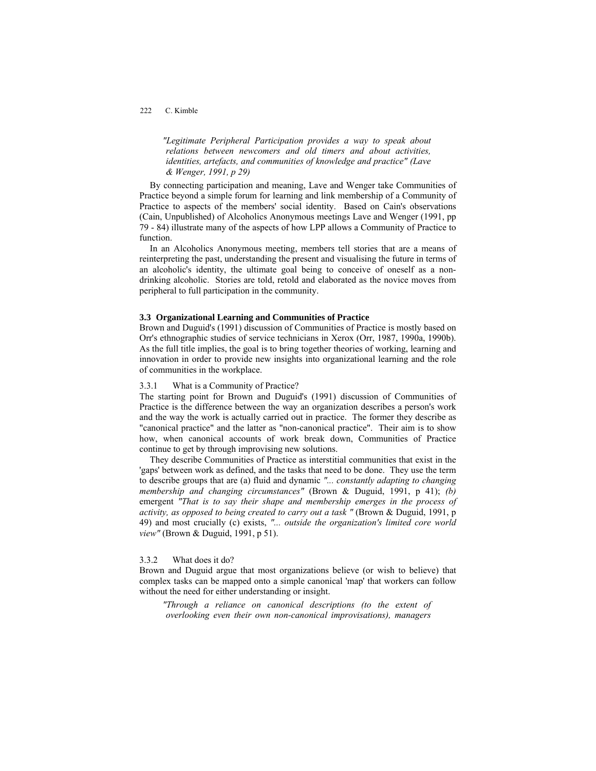*"Legitimate Peripheral Participation provides a way to speak about relations between newcomers and old timers and about activities, identities, artefacts, and communities of knowledge and practice" (Lave & Wenger, 1991, p 29)* 

By connecting participation and meaning, Lave and Wenger take Communities of Practice beyond a simple forum for learning and link membership of a Community of Practice to aspects of the members' social identity. Based on Cain's observations (Cain, Unpublished) of Alcoholics Anonymous meetings Lave and Wenger (1991, pp 79 - 84) illustrate many of the aspects of how LPP allows a Community of Practice to function.

In an Alcoholics Anonymous meeting, members tell stories that are a means of reinterpreting the past, understanding the present and visualising the future in terms of an alcoholic's identity, the ultimate goal being to conceive of oneself as a nondrinking alcoholic. Stories are told, retold and elaborated as the novice moves from peripheral to full participation in the community.

# **3.3 Organizational Learning and Communities of Practice**

Brown and Duguid's (1991) discussion of Communities of Practice is mostly based on Orr's ethnographic studies of service technicians in Xerox (Orr, 1987, 1990a, 1990b). As the full title implies, the goal is to bring together theories of working, learning and innovation in order to provide new insights into organizational learning and the role of communities in the workplace.

# 3.3.1 What is a Community of Practice?

The starting point for Brown and Duguid's (1991) discussion of Communities of Practice is the difference between the way an organization describes a person's work and the way the work is actually carried out in practice. The former they describe as "canonical practice" and the latter as "non-canonical practice". Their aim is to show how, when canonical accounts of work break down, Communities of Practice continue to get by through improvising new solutions.

They describe Communities of Practice as interstitial communities that exist in the 'gaps' between work as defined, and the tasks that need to be done. They use the term to describe groups that are (a) fluid and dynamic *"... constantly adapting to changing membership and changing circumstances"* (Brown & Duguid, 1991, p 41); *(b)*  emergent *"That is to say their shape and membership emerges in the process of activity, as opposed to being created to carry out a task "* (Brown & Duguid, 1991, p 49) and most crucially (c) exists, *"... outside the organization's limited core world view"* (Brown & Duguid, 1991, p 51).

#### 3.3.2 What does it do?

Brown and Duguid argue that most organizations believe (or wish to believe) that complex tasks can be mapped onto a simple canonical 'map' that workers can follow without the need for either understanding or insight.

*"Through a reliance on canonical descriptions (to the extent of overlooking even their own non-canonical improvisations), managers*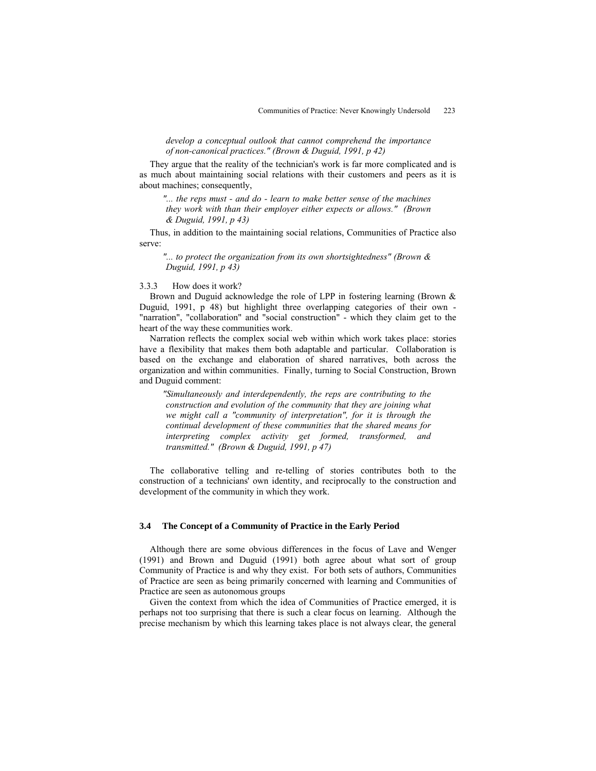*develop a conceptual outlook that cannot comprehend the importance of non-canonical practices." (Brown & Duguid, 1991, p 42)* 

They argue that the reality of the technician's work is far more complicated and is as much about maintaining social relations with their customers and peers as it is about machines; consequently,

*"... the reps must - and do - learn to make better sense of the machines they work with than their employer either expects or allows." (Brown & Duguid, 1991, p 43)* 

Thus, in addition to the maintaining social relations, Communities of Practice also serve:

*"... to protect the organization from its own shortsightedness" (Brown & Duguid, 1991, p 43)* 

### 3.3.3 How does it work?

Brown and Duguid acknowledge the role of LPP in fostering learning (Brown & Duguid, 1991, p 48) but highlight three overlapping categories of their own - "narration", "collaboration" and "social construction" - which they claim get to the heart of the way these communities work.

Narration reflects the complex social web within which work takes place: stories have a flexibility that makes them both adaptable and particular. Collaboration is based on the exchange and elaboration of shared narratives, both across the organization and within communities. Finally, turning to Social Construction, Brown and Duguid comment:

*"Simultaneously and interdependently, the reps are contributing to the construction and evolution of the community that they are joining what we might call a "community of interpretation", for it is through the continual development of these communities that the shared means for interpreting complex activity get formed, transformed, and transmitted." (Brown & Duguid, 1991, p 47)* 

The collaborative telling and re-telling of stories contributes both to the construction of a technicians' own identity, and reciprocally to the construction and development of the community in which they work.

#### **3.4 The Concept of a Community of Practice in the Early Period**

Although there are some obvious differences in the focus of Lave and Wenger (1991) and Brown and Duguid (1991) both agree about what sort of group Community of Practice is and why they exist. For both sets of authors, Communities of Practice are seen as being primarily concerned with learning and Communities of Practice are seen as autonomous groups

Given the context from which the idea of Communities of Practice emerged, it is perhaps not too surprising that there is such a clear focus on learning. Although the precise mechanism by which this learning takes place is not always clear, the general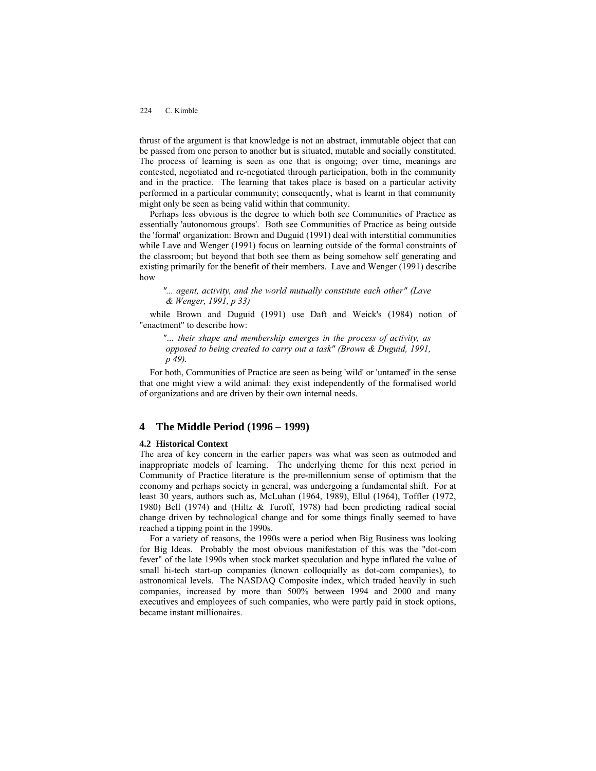thrust of the argument is that knowledge is not an abstract, immutable object that can be passed from one person to another but is situated, mutable and socially constituted. The process of learning is seen as one that is ongoing; over time, meanings are contested, negotiated and re-negotiated through participation, both in the community and in the practice. The learning that takes place is based on a particular activity performed in a particular community; consequently, what is learnt in that community might only be seen as being valid within that community.

Perhaps less obvious is the degree to which both see Communities of Practice as essentially 'autonomous groups'. Both see Communities of Practice as being outside the 'formal' organization: Brown and Duguid (1991) deal with interstitial communities while Lave and Wenger (1991) focus on learning outside of the formal constraints of the classroom; but beyond that both see them as being somehow self generating and existing primarily for the benefit of their members. Lave and Wenger (1991) describe how

*"... agent, activity, and the world mutually constitute each other" (Lave & Wenger, 1991, p 33)* 

while Brown and Duguid (1991) use Daft and Weick's (1984) notion of "enactment" to describe how:

*"… their shape and membership emerges in the process of activity, as opposed to being created to carry out a task" (Brown & Duguid, 1991, p 49).* 

For both, Communities of Practice are seen as being 'wild' or 'untamed' in the sense that one might view a wild animal: they exist independently of the formalised world of organizations and are driven by their own internal needs.

# **4 The Middle Period (1996 – 1999)**

#### **4.2 Historical Context**

The area of key concern in the earlier papers was what was seen as outmoded and inappropriate models of learning. The underlying theme for this next period in Community of Practice literature is the pre-millennium sense of optimism that the economy and perhaps society in general, was undergoing a fundamental shift. For at least 30 years, authors such as, McLuhan (1964, 1989), Ellul (1964), Toffler (1972, 1980) Bell (1974) and (Hiltz & Turoff, 1978) had been predicting radical social change driven by technological change and for some things finally seemed to have reached a tipping point in the 1990s.

For a variety of reasons, the 1990s were a period when Big Business was looking for Big Ideas. Probably the most obvious manifestation of this was the "dot-com fever" of the late 1990s when stock market speculation and hype inflated the value of small hi-tech start-up companies (known colloquially as dot-com companies), to astronomical levels. The NASDAQ Composite index, which traded heavily in such companies, increased by more than 500% between 1994 and 2000 and many executives and employees of such companies, who were partly paid in stock options, became instant millionaires.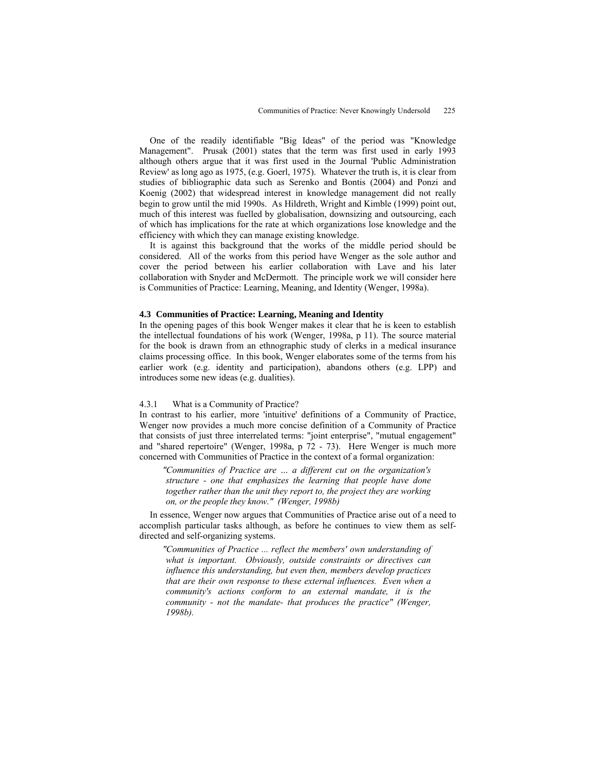One of the readily identifiable "Big Ideas" of the period was "Knowledge Management". Prusak (2001) states that the term was first used in early 1993 although others argue that it was first used in the Journal 'Public Administration Review' as long ago as 1975, (e.g. Goerl, 1975). Whatever the truth is, it is clear from studies of bibliographic data such as Serenko and Bontis (2004) and Ponzi and Koenig (2002) that widespread interest in knowledge management did not really begin to grow until the mid 1990s. As Hildreth, Wright and Kimble (1999) point out, much of this interest was fuelled by globalisation, downsizing and outsourcing, each of which has implications for the rate at which organizations lose knowledge and the efficiency with which they can manage existing knowledge.

It is against this background that the works of the middle period should be considered. All of the works from this period have Wenger as the sole author and cover the period between his earlier collaboration with Lave and his later collaboration with Snyder and McDermott. The principle work we will consider here is Communities of Practice: Learning, Meaning, and Identity (Wenger, 1998a).

### **4.3 Communities of Practice: Learning, Meaning and Identity**

In the opening pages of this book Wenger makes it clear that he is keen to establish the intellectual foundations of his work (Wenger, 1998a, p 11). The source material for the book is drawn from an ethnographic study of clerks in a medical insurance claims processing office. In this book, Wenger elaborates some of the terms from his earlier work (e.g. identity and participation), abandons others (e.g. LPP) and introduces some new ideas (e.g. dualities).

#### 4.3.1 What is a Community of Practice?

In contrast to his earlier, more 'intuitive' definitions of a Community of Practice, Wenger now provides a much more concise definition of a Community of Practice that consists of just three interrelated terms: "joint enterprise", "mutual engagement" and "shared repertoire" (Wenger, 1998a, p 72 - 73). Here Wenger is much more concerned with Communities of Practice in the context of a formal organization:

*"Communities of Practice are … a different cut on the organization's structure - one that emphasizes the learning that people have done together rather than the unit they report to, the project they are working on, or the people they know." (Wenger, 1998b)* 

In essence, Wenger now argues that Communities of Practice arise out of a need to accomplish particular tasks although, as before he continues to view them as selfdirected and self-organizing systems.

*"Communities of Practice ... reflect the members' own understanding of what is important. Obviously, outside constraints or directives can influence this understanding, but even then, members develop practices that are their own response to these external influences. Even when a community's actions conform to an external mandate, it is the community - not the mandate- that produces the practice" (Wenger, 1998b).*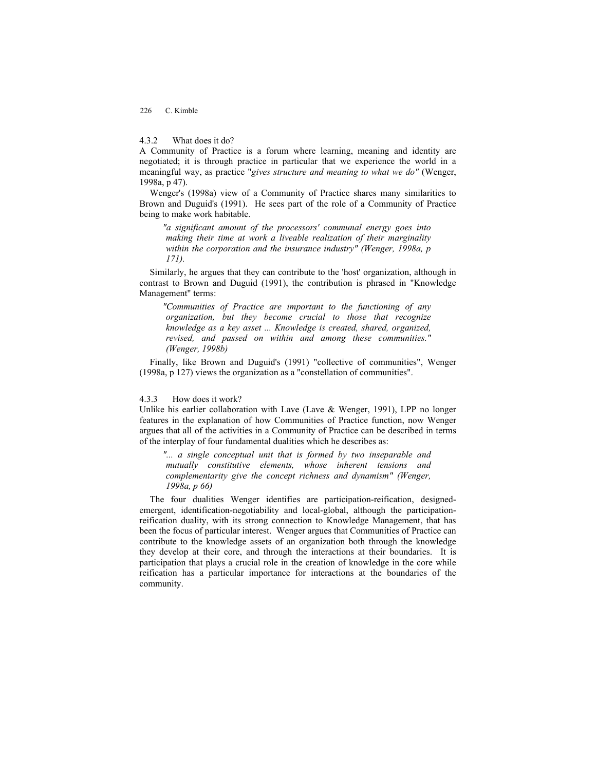# 4.3.2 What does it do?

A Community of Practice is a forum where learning, meaning and identity are negotiated; it is through practice in particular that we experience the world in a meaningful way, as practice "*gives structure and meaning to what we do"* (Wenger, 1998a, p 47).

Wenger's (1998a) view of a Community of Practice shares many similarities to Brown and Duguid's (1991). He sees part of the role of a Community of Practice being to make work habitable.

*"a significant amount of the processors' communal energy goes into making their time at work a liveable realization of their marginality within the corporation and the insurance industry" (Wenger, 1998a, p 171).* 

Similarly, he argues that they can contribute to the 'host' organization, although in contrast to Brown and Duguid (1991), the contribution is phrased in "Knowledge Management" terms:

*"Communities of Practice are important to the functioning of any organization, but they become crucial to those that recognize knowledge as a key asset ... Knowledge is created, shared, organized, revised, and passed on within and among these communities." (Wenger, 1998b)* 

Finally, like Brown and Duguid's (1991) "collective of communities", Wenger (1998a, p 127) views the organization as a "constellation of communities".

## 4.3.3 How does it work?

Unlike his earlier collaboration with Lave (Lave & Wenger, 1991), LPP no longer features in the explanation of how Communities of Practice function, now Wenger argues that all of the activities in a Community of Practice can be described in terms of the interplay of four fundamental dualities which he describes as:

*"... a single conceptual unit that is formed by two inseparable and mutually constitutive elements, whose inherent tensions and complementarity give the concept richness and dynamism" (Wenger, 1998a, p 66)* 

The four dualities Wenger identifies are participation-reification, designedemergent, identification-negotiability and local-global, although the participationreification duality, with its strong connection to Knowledge Management, that has been the focus of particular interest. Wenger argues that Communities of Practice can contribute to the knowledge assets of an organization both through the knowledge they develop at their core, and through the interactions at their boundaries. It is participation that plays a crucial role in the creation of knowledge in the core while reification has a particular importance for interactions at the boundaries of the community.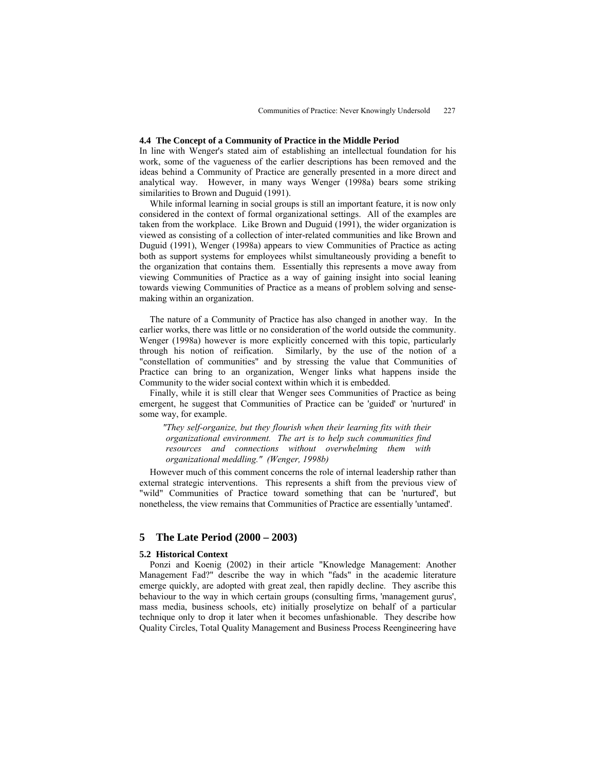# **4.4 The Concept of a Community of Practice in the Middle Period**

In line with Wenger's stated aim of establishing an intellectual foundation for his work, some of the vagueness of the earlier descriptions has been removed and the ideas behind a Community of Practice are generally presented in a more direct and analytical way. However, in many ways Wenger (1998a) bears some striking similarities to Brown and Duguid (1991).

While informal learning in social groups is still an important feature, it is now only considered in the context of formal organizational settings. All of the examples are taken from the workplace. Like Brown and Duguid (1991), the wider organization is viewed as consisting of a collection of inter-related communities and like Brown and Duguid (1991), Wenger (1998a) appears to view Communities of Practice as acting both as support systems for employees whilst simultaneously providing a benefit to the organization that contains them. Essentially this represents a move away from viewing Communities of Practice as a way of gaining insight into social leaning towards viewing Communities of Practice as a means of problem solving and sensemaking within an organization.

The nature of a Community of Practice has also changed in another way. In the earlier works, there was little or no consideration of the world outside the community. Wenger (1998a) however is more explicitly concerned with this topic, particularly through his notion of reification. Similarly, by the use of the notion of a "constellation of communities" and by stressing the value that Communities of Practice can bring to an organization, Wenger links what happens inside the Community to the wider social context within which it is embedded.

Finally, while it is still clear that Wenger sees Communities of Practice as being emergent, he suggest that Communities of Practice can be 'guided' or 'nurtured' in some way, for example.

*"They self-organize, but they flourish when their learning fits with their organizational environment. The art is to help such communities find resources and connections without overwhelming them with organizational meddling." (Wenger, 1998b)* 

However much of this comment concerns the role of internal leadership rather than external strategic interventions. This represents a shift from the previous view of "wild" Communities of Practice toward something that can be 'nurtured', but nonetheless, the view remains that Communities of Practice are essentially 'untamed'.

# **5 The Late Period (2000 – 2003)**

### **5.2 Historical Context**

Ponzi and Koenig (2002) in their article "Knowledge Management: Another Management Fad?" describe the way in which "fads" in the academic literature emerge quickly, are adopted with great zeal, then rapidly decline. They ascribe this behaviour to the way in which certain groups (consulting firms, 'management gurus', mass media, business schools, etc) initially proselytize on behalf of a particular technique only to drop it later when it becomes unfashionable. They describe how Quality Circles, Total Quality Management and Business Process Reengineering have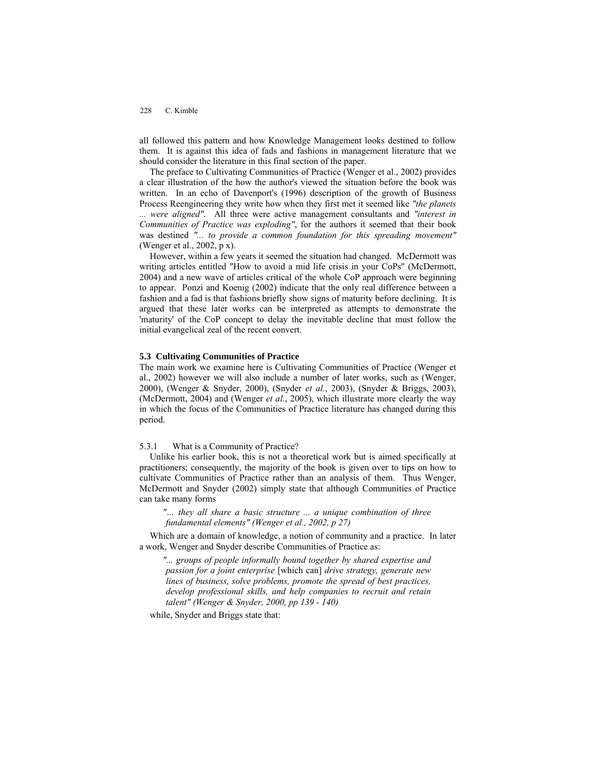all followed this pattern and how Knowledge Management looks destined to follow them. It is against this idea of fads and fashions in management literature that we should consider the literature in this final section of the paper.

The preface to Cultivating Communities of Practice (Wenger et al., 2002) provides a clear illustration of the how the author's viewed the situation before the book was written. In an echo of Davenport's (1996) description of the growth of Business Process Reengineering they write how when they first met it seemed like *"the planets ... were aligned"*. All three were active management consultants and *"interest in Communities of Practice was exploding"*, for the authors it seemed that their book was destined *"... to provide a common foundation for this spreading movement"* (Wenger et al., 2002, p x).

However, within a few years it seemed the situation had changed. McDermott was writing articles entitled "How to avoid a mid life crisis in your CoPs" (McDermott, 2004) and a new wave of articles critical of the whole CoP approach were beginning to appear. Ponzi and Koenig (2002) indicate that the only real difference between a fashion and a fad is that fashions briefly show signs of maturity before declining. It is argued that these later works can be interpreted as attempts to demonstrate the 'maturity' of the CoP concept to delay the inevitable decline that must follow the initial evangelical zeal of the recent convert.

#### **5.3 Cultivating Communities of Practice**

The main work we examine here is Cultivating Communities of Practice (Wenger et al., 2002) however we will also include a number of later works, such as (Wenger, 2000), (Wenger & Snyder, 2000), (Snyder *et al.*, 2003), (Snyder & Briggs, 2003), (McDermott, 2004) and (Wenger *et al.*, 2005), which illustrate more clearly the way in which the focus of the Communities of Practice literature has changed during this period.

5.3.1 What is a Community of Practice?

Unlike his earlier book, this is not a theoretical work but is aimed specifically at practitioners; consequently, the majority of the book is given over to tips on how to cultivate Communities of Practice rather than an analysis of them. Thus Wenger, McDermott and Snyder (2002) simply state that although Communities of Practice can take many forms

*"… they all share a basic structure ... a unique combination of three fundamental elements" (Wenger et al., 2002, p 27)* 

Which are a domain of knowledge, a notion of community and a practice. In later a work, Wenger and Snyder describe Communities of Practice as:

*"... groups of people informally bound together by shared expertise and passion for a joint enterprise* [which can] *drive strategy, generate new lines of business, solve problems, promote the spread of best practices, develop professional skills, and help companies to recruit and retain talent" (Wenger & Snyder, 2000, pp 139 - 140)* 

while, Snyder and Briggs state that: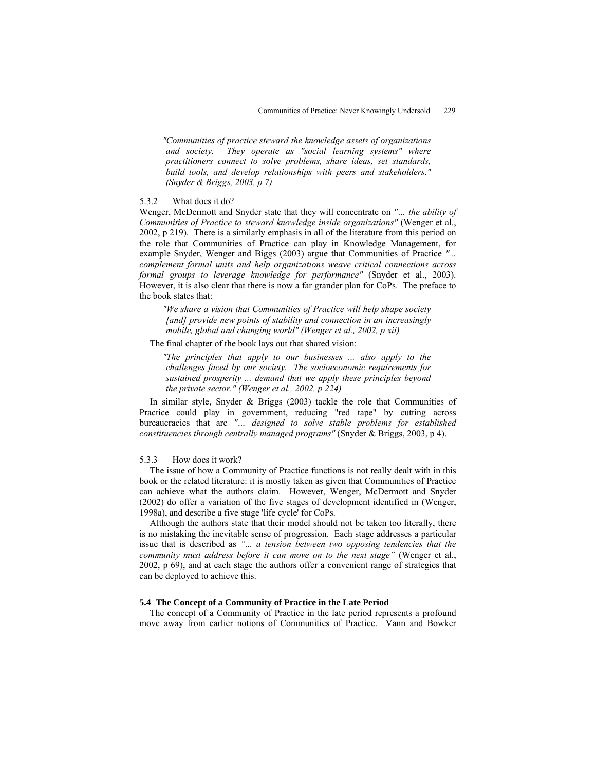*"Communities of practice steward the knowledge assets of organizations and society. They operate as "social learning systems" where practitioners connect to solve problems, share ideas, set standards, build tools, and develop relationships with peers and stakeholders." (Snyder & Briggs, 2003, p 7)* 

# 5.3.2 What does it do?

Wenger, McDermott and Snyder state that they will concentrate on *"… the ability of Communities of Practice to steward knowledge inside organizations"* (Wenger et al., 2002, p 219). There is a similarly emphasis in all of the literature from this period on the role that Communities of Practice can play in Knowledge Management, for example Snyder, Wenger and Biggs (2003) argue that Communities of Practice *"... complement formal units and help organizations weave critical connections across formal groups to leverage knowledge for performance"* (Snyder et al., 2003). However, it is also clear that there is now a far grander plan for CoPs. The preface to the book states that:

*"We share a vision that Communities of Practice will help shape society [and] provide new points of stability and connection in an increasingly mobile, global and changing world" (Wenger et al., 2002, p xii)* 

The final chapter of the book lays out that shared vision:

*"The principles that apply to our businesses ... also apply to the challenges faced by our society. The socioeconomic requirements for sustained prosperity ... demand that we apply these principles beyond the private sector." (Wenger et al., 2002, p 224)* 

In similar style, Snyder & Briggs (2003) tackle the role that Communities of Practice could play in government, reducing "red tape" by cutting across bureaucracies that are *"… designed to solve stable problems for established constituencies through centrally managed programs"* (Snyder & Briggs, 2003, p 4).

### 5.3.3 How does it work?

The issue of how a Community of Practice functions is not really dealt with in this book or the related literature: it is mostly taken as given that Communities of Practice can achieve what the authors claim. However, Wenger, McDermott and Snyder (2002) do offer a variation of the five stages of development identified in (Wenger, 1998a), and describe a five stage 'life cycle' for CoPs.

Although the authors state that their model should not be taken too literally, there is no mistaking the inevitable sense of progression. Each stage addresses a particular issue that is described as *"... a tension between two opposing tendencies that the community must address before it can move on to the next stage"* (Wenger et al., 2002, p 69), and at each stage the authors offer a convenient range of strategies that can be deployed to achieve this.

# **5.4 The Concept of a Community of Practice in the Late Period**

The concept of a Community of Practice in the late period represents a profound move away from earlier notions of Communities of Practice. Vann and Bowker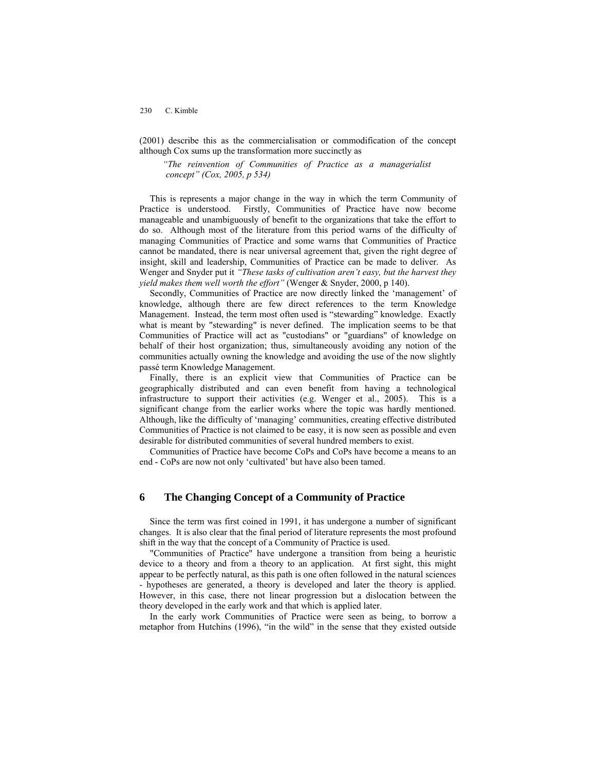(2001) describe this as the commercialisation or commodification of the concept although Cox sums up the transformation more succinctly as

*"The reinvention of Communities of Practice as a managerialist concept" (Cox, 2005, p 534)* 

This is represents a major change in the way in which the term Community of Practice is understood. Firstly, Communities of Practice have now become manageable and unambiguously of benefit to the organizations that take the effort to do so. Although most of the literature from this period warns of the difficulty of managing Communities of Practice and some warns that Communities of Practice cannot be mandated, there is near universal agreement that, given the right degree of insight, skill and leadership, Communities of Practice can be made to deliver. As Wenger and Snyder put it *"These tasks of cultivation aren't easy, but the harvest they yield makes them well worth the effort"* (Wenger & Snyder, 2000, p 140).

Secondly, Communities of Practice are now directly linked the 'management' of knowledge, although there are few direct references to the term Knowledge Management. Instead, the term most often used is "stewarding" knowledge. Exactly what is meant by "stewarding" is never defined. The implication seems to be that Communities of Practice will act as "custodians" or "guardians" of knowledge on behalf of their host organization; thus, simultaneously avoiding any notion of the communities actually owning the knowledge and avoiding the use of the now slightly passé term Knowledge Management.

Finally, there is an explicit view that Communities of Practice can be geographically distributed and can even benefit from having a technological infrastructure to support their activities (e.g. Wenger et al., 2005). This is a significant change from the earlier works where the topic was hardly mentioned. Although, like the difficulty of 'managing' communities, creating effective distributed Communities of Practice is not claimed to be easy, it is now seen as possible and even desirable for distributed communities of several hundred members to exist.

Communities of Practice have become CoPs and CoPs have become a means to an end - CoPs are now not only 'cultivated' but have also been tamed.

# **6 The Changing Concept of a Community of Practice**

Since the term was first coined in 1991, it has undergone a number of significant changes. It is also clear that the final period of literature represents the most profound shift in the way that the concept of a Community of Practice is used.

"Communities of Practice" have undergone a transition from being a heuristic device to a theory and from a theory to an application. At first sight, this might appear to be perfectly natural, as this path is one often followed in the natural sciences - hypotheses are generated, a theory is developed and later the theory is applied. However, in this case, there not linear progression but a dislocation between the theory developed in the early work and that which is applied later.

In the early work Communities of Practice were seen as being, to borrow a metaphor from Hutchins (1996), "in the wild" in the sense that they existed outside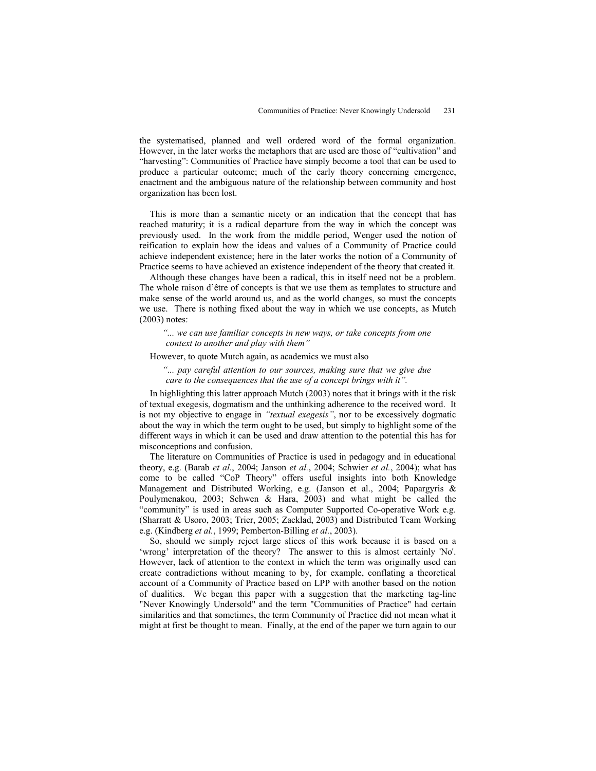the systematised, planned and well ordered word of the formal organization. However, in the later works the metaphors that are used are those of "cultivation" and "harvesting": Communities of Practice have simply become a tool that can be used to produce a particular outcome; much of the early theory concerning emergence, enactment and the ambiguous nature of the relationship between community and host organization has been lost.

This is more than a semantic nicety or an indication that the concept that has reached maturity; it is a radical departure from the way in which the concept was previously used. In the work from the middle period, Wenger used the notion of reification to explain how the ideas and values of a Community of Practice could achieve independent existence; here in the later works the notion of a Community of Practice seems to have achieved an existence independent of the theory that created it.

Although these changes have been a radical, this in itself need not be a problem. The whole raison d'être of concepts is that we use them as templates to structure and make sense of the world around us, and as the world changes, so must the concepts we use. There is nothing fixed about the way in which we use concepts, as Mutch (2003) notes:

*"... we can use familiar concepts in new ways, or take concepts from one context to another and play with them"* 

#### However, to quote Mutch again, as academics we must also

*"... pay careful attention to our sources, making sure that we give due care to the consequences that the use of a concept brings with it".* 

In highlighting this latter approach Mutch (2003) notes that it brings with it the risk of textual exegesis, dogmatism and the unthinking adherence to the received word. It is not my objective to engage in *"textual exegesis"*, nor to be excessively dogmatic about the way in which the term ought to be used, but simply to highlight some of the different ways in which it can be used and draw attention to the potential this has for misconceptions and confusion.

The literature on Communities of Practice is used in pedagogy and in educational theory, e.g. (Barab *et al.*, 2004; Janson *et al.*, 2004; Schwier *et al.*, 2004); what has come to be called "CoP Theory" offers useful insights into both Knowledge Management and Distributed Working, e.g. (Janson et al., 2004; Papargyris & Poulymenakou, 2003; Schwen & Hara, 2003) and what might be called the "community" is used in areas such as Computer Supported Co-operative Work e.g. (Sharratt & Usoro, 2003; Trier, 2005; Zacklad, 2003) and Distributed Team Working e.g. (Kindberg *et al.*, 1999; Pemberton-Billing *et al.*, 2003).

So, should we simply reject large slices of this work because it is based on a 'wrong' interpretation of the theory? The answer to this is almost certainly 'No'. However, lack of attention to the context in which the term was originally used can create contradictions without meaning to by, for example, conflating a theoretical account of a Community of Practice based on LPP with another based on the notion of dualities. We began this paper with a suggestion that the marketing tag-line "Never Knowingly Undersold" and the term "Communities of Practice" had certain similarities and that sometimes, the term Community of Practice did not mean what it might at first be thought to mean. Finally, at the end of the paper we turn again to our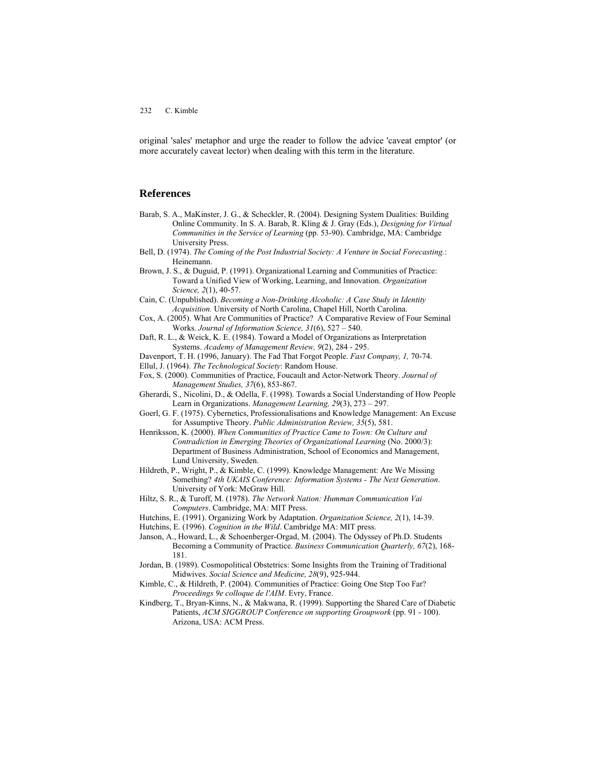original 'sales' metaphor and urge the reader to follow the advice 'caveat emptor' (or more accurately caveat lector) when dealing with this term in the literature.

# **References**

- Barab, S. A., MaKinster, J. G., & Scheckler, R. (2004). Designing System Dualities: Building Online Community. In S. A. Barab, R. Kling & J. Gray (Eds.), *Designing for Virtual Communities in the Service of Learning* (pp. 53-90). Cambridge, MA: Cambridge University Press.
- Bell, D. (1974). *The Coming of the Post Industrial Society: A Venture in Social Forecasting.*: Heinemann.
- Brown, J. S., & Duguid, P. (1991). Organizational Learning and Communities of Practice: Toward a Unified View of Working, Learning, and Innovation. *Organization Science, 2*(1), 40-57.
- Cain, C. (Unpublished). *Becoming a Non-Drinking Alcoholic: A Case Study in Identity Acquisition.* University of North Carolina, Chapel Hill, North Carolina.
- Cox, A. (2005). What Are Communities of Practice? A Comparative Review of Four Seminal Works. *Journal of Information Science, 31*(6), 527 – 540.
- Daft, R. L., & Weick, K. E. (1984). Toward a Model of Organizations as Interpretation Systems. *Academy of Management Review, 9*(2), 284 - 295.
- Davenport, T. H. (1996, January). The Fad That Forgot People. *Fast Company, 1,* 70-74. Ellul, J. (1964). *The Technological Society*: Random House.
- Fox, S. (2000). Communities of Practice, Foucault and Actor-Network Theory. *Journal of Management Studies, 37*(6), 853-867.
- Gherardi, S., Nicolini, D., & Odella, F. (1998). Towards a Social Understanding of How People Learn in Organizations. *Management Learning, 29*(3), 273 – 297.
- Goerl, G. F. (1975). Cybernetics, Professionalisations and Knowledge Management: An Excuse for Assumptive Theory. *Public Administration Review, 35*(5), 581.
- Henriksson, K. (2000). *When Communities of Practice Came to Town: On Culture and Contradiction in Emerging Theories of Organizational Learning* (No. 2000/3): Department of Business Administration, School of Economics and Management, Lund University, Sweden.
- Hildreth, P., Wright, P., & Kimble, C. (1999). Knowledge Management: Are We Missing Something? *4th UKAIS Conference: Information Systems - The Next Generation*. University of York: McGraw Hill.
- Hiltz, S. R., & Turoff, M. (1978). *The Network Nation: Humman Communication Vai Computers*. Cambridge, MA: MIT Press.
- Hutchins, E. (1991). Organizing Work by Adaptation. *Organization Science, 2*(1), 14-39.
- Hutchins, E. (1996). *Cognition in the Wild*. Cambridge MA: MIT press.
- Janson, A., Howard, L., & Schoenberger-Orgad, M. (2004). The Odyssey of Ph.D. Students Becoming a Community of Practice. *Business Communication Quarterly, 67*(2), 168- 181.
- Jordan, B. (1989). Cosmopolitical Obstetrics: Some Insights from the Training of Traditional Midwives. *Social Science and Medicine, 28*(9), 925-944.
- Kimble, C., & Hildreth, P. (2004). Communities of Practice: Going One Step Too Far? *Proceedings 9e colloque de l'AIM*. Evry, France.
- Kindberg, T., Bryan-Kinns, N., & Makwana, R. (1999). Supporting the Shared Care of Diabetic Patients, *ACM SIGGROUP Conference on supporting Groupwork* (pp. 91 - 100). Arizona, USA: ACM Press.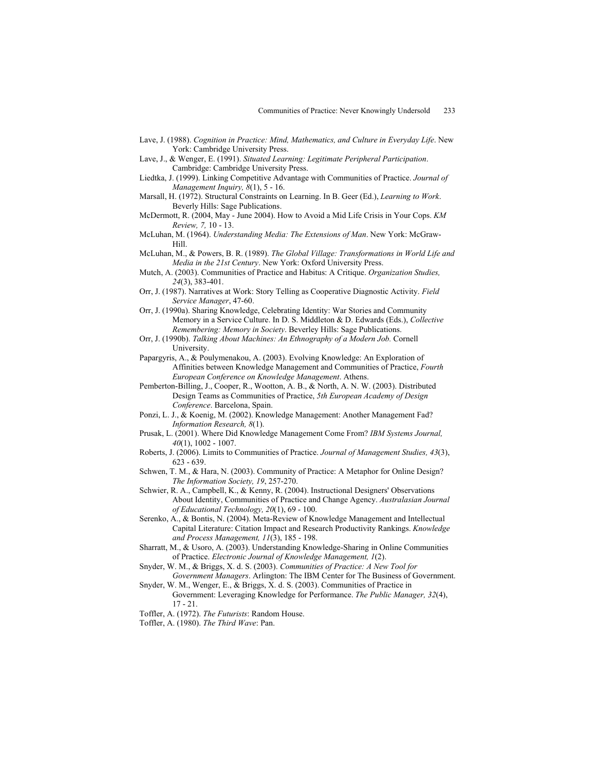- Lave, J. (1988). *Cognition in Practice: Mind, Mathematics, and Culture in Everyday Life*. New York: Cambridge University Press.
- Lave, J., & Wenger, E. (1991). *Situated Learning: Legitimate Peripheral Participation*. Cambridge: Cambridge University Press.
- Liedtka, J. (1999). Linking Competitive Advantage with Communities of Practice. *Journal of Management Inquiry, 8*(1), 5 - 16.
- Marsall, H. (1972). Structural Constraints on Learning. In B. Geer (Ed.), *Learning to Work*. Beverly Hills: Sage Publications.
- McDermott, R. (2004, May June 2004). How to Avoid a Mid Life Crisis in Your Cops. *KM Review, 7,* 10 - 13.

McLuhan, M. (1964). *Understanding Media: The Extensions of Man*. New York: McGraw-Hill.

McLuhan, M., & Powers, B. R. (1989). *The Global Village: Transformations in World Life and Media in the 21st Century*. New York: Oxford University Press.

Mutch, A. (2003). Communities of Practice and Habitus: A Critique. *Organization Studies, 24*(3), 383-401.

- Orr, J. (1987). Narratives at Work: Story Telling as Cooperative Diagnostic Activity. *Field Service Manager*, 47-60.
- Orr, J. (1990a). Sharing Knowledge, Celebrating Identity: War Stories and Community Memory in a Service Culture. In D. S. Middleton & D. Edwards (Eds.), *Collective Remembering: Memory in Society*. Beverley Hills: Sage Publications.
- Orr, J. (1990b). *Talking About Machines: An Ethnography of a Modern Job.* Cornell University.
- Papargyris, A., & Poulymenakou, A. (2003). Evolving Knowledge: An Exploration of Affinities between Knowledge Management and Communities of Practice, *Fourth European Conference on Knowledge Management*. Athens.

Pemberton-Billing, J., Cooper, R., Wootton, A. B., & North, A. N. W. (2003). Distributed Design Teams as Communities of Practice, *5th European Academy of Design Conference*. Barcelona, Spain.

- Ponzi, L. J., & Koenig, M. (2002). Knowledge Management: Another Management Fad? *Information Research, 8*(1).
- Prusak, L. (2001). Where Did Knowledge Management Come From? *IBM Systems Journal, 40*(1), 1002 - 1007.
- Roberts, J. (2006). Limits to Communities of Practice. *Journal of Management Studies, 43*(3), 623 - 639.
- Schwen, T. M., & Hara, N. (2003). Community of Practice: A Metaphor for Online Design? *The Information Society, 19*, 257-270.
- Schwier, R. A., Campbell, K., & Kenny, R. (2004). Instructional Designers' Observations About Identity, Communities of Practice and Change Agency. *Australasian Journal of Educational Technology, 20*(1), 69 - 100.
- Serenko, A., & Bontis, N. (2004). Meta-Review of Knowledge Management and Intellectual Capital Literature: Citation Impact and Research Productivity Rankings. *Knowledge and Process Management, 11*(3), 185 - 198.
- Sharratt, M., & Usoro, A. (2003). Understanding Knowledge-Sharing in Online Communities of Practice. *Electronic Journal of Knowledge Management, 1*(2).
- Snyder, W. M., & Briggs, X. d. S. (2003). *Communities of Practice: A New Tool for Government Managers*. Arlington: The IBM Center for The Business of Government.
- Snyder, W. M., Wenger, E., & Briggs, X. d. S. (2003). Communities of Practice in Government: Leveraging Knowledge for Performance. *The Public Manager, 32*(4), 17 - 21.
- Toffler, A. (1972). *The Futurists*: Random House.
- Toffler, A. (1980). *The Third Wave*: Pan.